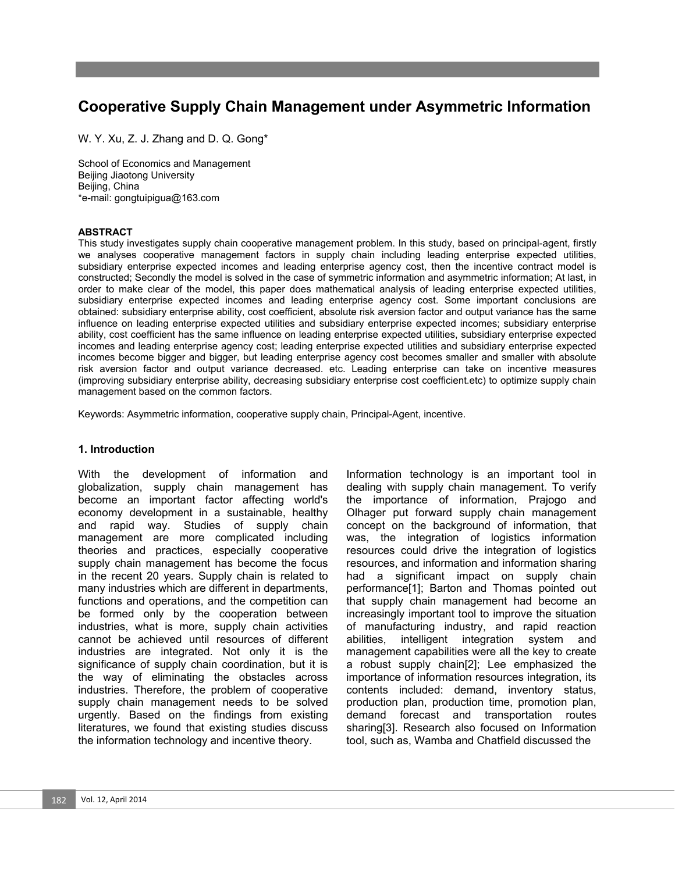# **Cooperative Supply Chain Management under Asymmetric Information**

W. Y. Xu, Z. J. Zhang and D. Q. Gong\*

School of Economics and Management Beijing Jiaotong University Beijing, China \*e-mail: gongtuipigua@163.com

## **ABSTRACT**

This study investigates supply chain cooperative management problem. In this study, based on principal-agent, firstly we analyses cooperative management factors in supply chain including leading enterprise expected utilities, subsidiary enterprise expected incomes and leading enterprise agency cost, then the incentive contract model is constructed; Secondly the model is solved in the case of symmetric information and asymmetric information; At last, in order to make clear of the model, this paper does mathematical analysis of leading enterprise expected utilities, subsidiary enterprise expected incomes and leading enterprise agency cost. Some important conclusions are obtained: subsidiary enterprise ability, cost coefficient, absolute risk aversion factor and output variance has the same influence on leading enterprise expected utilities and subsidiary enterprise expected incomes; subsidiary enterprise ability, cost coefficient has the same influence on leading enterprise expected utilities, subsidiary enterprise expected incomes and leading enterprise agency cost; leading enterprise expected utilities and subsidiary enterprise expected incomes become bigger and bigger, but leading enterprise agency cost becomes smaller and smaller with absolute risk aversion factor and output variance decreased. etc. Leading enterprise can take on incentive measures (improving subsidiary enterprise ability, decreasing subsidiary enterprise cost coefficient.etc) to optimize supply chain management based on the common factors.

Keywords: Asymmetric information, cooperative supply chain, Principal-Agent, incentive.

# **1. Introduction**

With the development of information and globalization, supply chain management has become an important factor affecting world's economy development in a sustainable, healthy and rapid way. Studies of supply chain management are more complicated including theories and practices, especially cooperative supply chain management has become the focus in the recent 20 years. Supply chain is related to many industries which are different in departments, functions and operations, and the competition can be formed only by the cooperation between industries, what is more, supply chain activities cannot be achieved until resources of different industries are integrated. Not only it is the significance of supply chain coordination, but it is the way of eliminating the obstacles across industries. Therefore, the problem of cooperative supply chain management needs to be solved urgently. Based on the findings from existing literatures, we found that existing studies discuss the information technology and incentive theory.

Information technology is an important tool in dealing with supply chain management. To verify the importance of information, Prajogo and Olhager put forward supply chain management concept on the background of information, that was, the integration of logistics information resources could drive the integration of logistics resources, and information and information sharing had a significant impact on supply chain performance[1]; Barton and Thomas pointed out that supply chain management had become an increasingly important tool to improve the situation of manufacturing industry, and rapid reaction abilities, intelligent integration system and management capabilities were all the key to create a robust supply chain[2]; Lee emphasized the importance of information resources integration, its contents included: demand, inventory status, production plan, production time, promotion plan, demand forecast and transportation routes sharing[3]. Research also focused on Information tool, such as, Wamba and Chatfield discussed the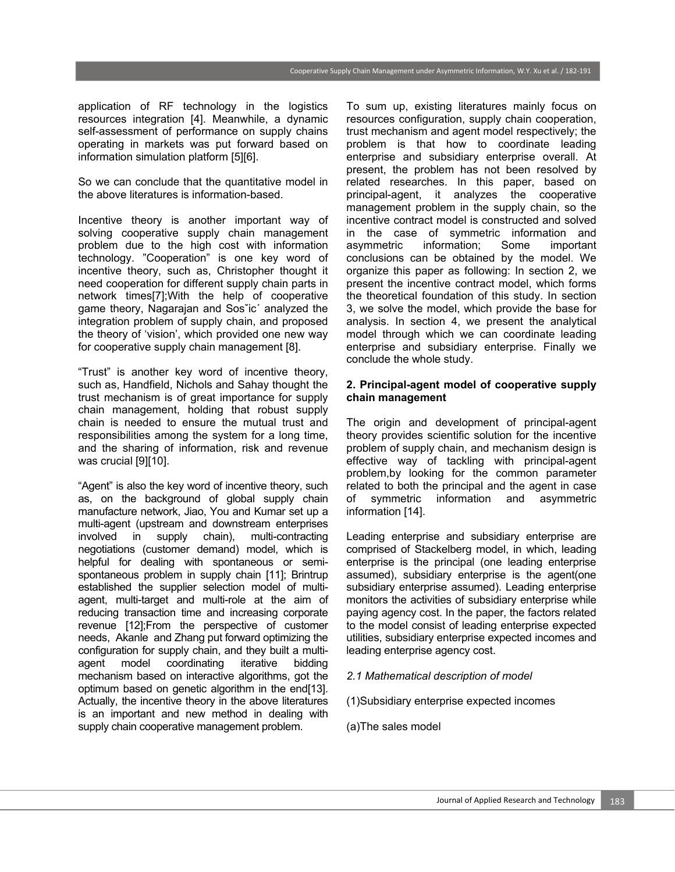application of RF technology in the logistics resources integration [4]. Meanwhile, a dynamic self-assessment of performance on supply chains operating in markets was put forward based on information simulation platform [5][6].

So we can conclude that the quantitative model in the above literatures is information-based.

Incentive theory is another important way of solving cooperative supply chain management problem due to the high cost with information technology. "Cooperation" is one key word of incentive theory, such as, Christopher thought it need cooperation for different supply chain parts in network times[7];With the help of cooperative game theory, Nagarajan and Sosˇic´ analyzed the integration problem of supply chain, and proposed the theory of 'vision', which provided one new way for cooperative supply chain management [8].

"Trust" is another key word of incentive theory, such as, Handfield, Nichols and Sahay thought the trust mechanism is of great importance for supply chain management, holding that robust supply chain is needed to ensure the mutual trust and responsibilities among the system for a long time, and the sharing of information, risk and revenue was crucial [9][10].

"Agent" is also the key word of incentive theory, such as, on the background of global supply chain manufacture network, Jiao, You and Kumar set up a multi-agent (upstream and downstream enterprises involved in supply chain), multi-contracting negotiations (customer demand) model, which is helpful for dealing with spontaneous or semispontaneous problem in supply chain [11]; Brintrup established the supplier selection model of multiagent, multi-target and multi-role at the aim of reducing transaction time and increasing corporate revenue [12];From the perspective of customer needs, Akanle and Zhang put forward optimizing the configuration for supply chain, and they built a multiagent model coordinating iterative bidding mechanism based on interactive algorithms, got the optimum based on genetic algorithm in the end[13]. Actually, the incentive theory in the above literatures is an important and new method in dealing with supply chain cooperative management problem.

To sum up, existing literatures mainly focus on resources configuration, supply chain cooperation, trust mechanism and agent model respectively; the problem is that how to coordinate leading enterprise and subsidiary enterprise overall. At present, the problem has not been resolved by related researches. In this paper, based on principal-agent, it analyzes the cooperative management problem in the supply chain, so the incentive contract model is constructed and solved in the case of symmetric information and asymmetric information; Some important conclusions can be obtained by the model. We organize this paper as following: In section 2, we present the incentive contract model, which forms the theoretical foundation of this study. In section 3, we solve the model, which provide the base for analysis. In section 4, we present the analytical model through which we can coordinate leading enterprise and subsidiary enterprise. Finally we conclude the whole study.

# **2. Principal-agent model of cooperative supply chain management**

The origin and development of principal-agent theory provides scientific solution for the incentive problem of supply chain, and mechanism design is effective way of tackling with principal-agent problem,by looking for the common parameter related to both the principal and the agent in case of symmetric information and asymmetric information [14].

Leading enterprise and subsidiary enterprise are comprised of Stackelberg model, in which, leading enterprise is the principal (one leading enterprise assumed), subsidiary enterprise is the agent(one subsidiary enterprise assumed). Leading enterprise monitors the activities of subsidiary enterprise while paying agency cost. In the paper, the factors related to the model consist of leading enterprise expected utilities, subsidiary enterprise expected incomes and leading enterprise agency cost.

# *2.1 Mathematical description of model*

(1)Subsidiary enterprise expected incomes

(a)The sales model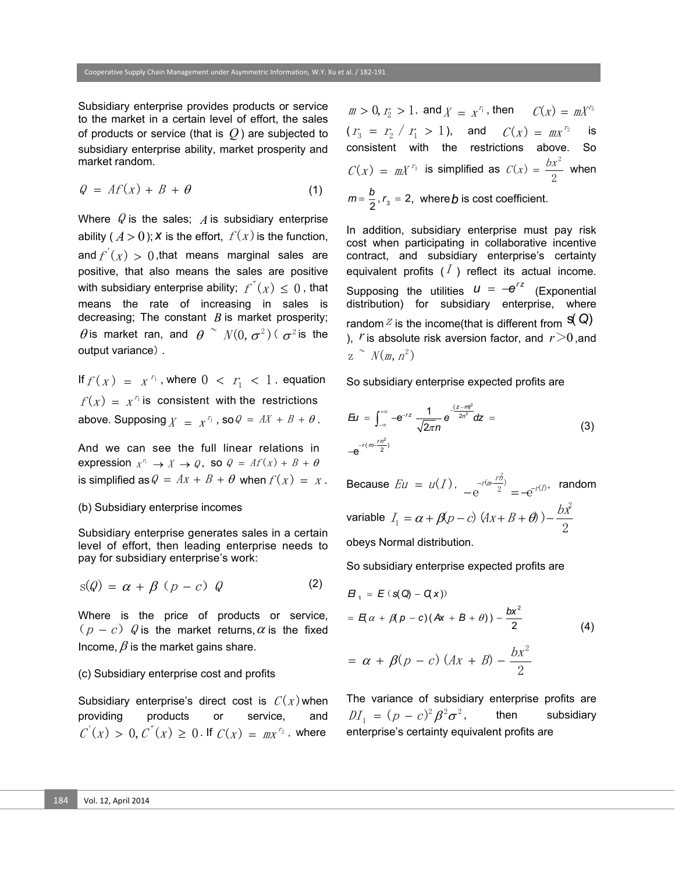Subsidiary enterprise provides products or service to the market in a certain level of effort, the sales of products or service (that is *Q* ) are subjected to subsidiary enterprise ability, market prosperity and market random.

$$
Q = Af(x) + B + \theta \tag{1}
$$

Where  $Q$  is the sales;  $A$  is subsidiary enterprise ability ( $A > 0$ ); X is the effort,  $f(x)$  is the function, and  $f'(x) > 0$ , that means marginal sales are positive, that also means the sales are positive with subsidiary enterprise ability;  $f'(x) < 0$ , that means the rate of increasing in sales is decreasing; The constant *B* is market prosperity;  $\theta$  is market ran, and  $\theta \stackrel{\sim}{\sim} N(0, \sigma^2)$   $\theta$   $\sigma^2$  is the output variance).

If  $f(x) = x^{r_1}$ , where  $0 < r_1 < 1$ , equation  $f(x) = x^{r_1}$  is consistent with the restrictions above. Supposing  $Y = X^{T_1}$ , so  $Q = AX + B + \theta$ .

And we can see the full linear relations in expression  $x^{n} \rightarrow X \rightarrow \varnothing$ , so  $\varnothing = Af(x) + B + \theta$ is simplified as  $Q = Ax + B + \theta$  when  $f(x) = x$ .

## (b) Subsidiary enterprise incomes

Subsidiary enterprise generates sales in a certain level of effort, then leading enterprise needs to pay for subsidiary enterprise's work:

$$
s(Q) = \alpha + \beta (p - c) Q \qquad (2)
$$

Where is the price of products or service,  $(p - c)$  Q is the market returns,  $\alpha$  is the fixed Income,  $\beta$  is the market gains share.

#### (c) Subsidiary enterprise cost and profits

Subsidiary enterprise's direct cost is  $C(x)$  when providing products or service, and  $C'(x) > 0, C'(x) \ge 0$ . If  $C(x) = mx^{r_2}$ , where

 $m > 0, r_2 > 1$ , and  $Y = x^{r_1}$ , then  $C(x) = mX^{r_3}$  $(r_3 = r_2 / r_1 > 1)$ , and  $C(x) = mx^{r_2}$  is consistent with the restrictions above. So  $C(x) = mX^{x_3}$  is simplified as  $C(x) = \frac{bx^2}{2}$  when  $\frac{2}{2}$ ,  $r_3 = 2$  $m = \frac{b}{2}$ ,  $r_3 = 2$ , where *b* is cost coefficient.

In addition, subsidiary enterprise must pay risk cost when participating in collaborative incentive contract, and subsidiary enterprise's certainty equivalent profits  $(1)$  reflect its actual income. Supposing the utilities  $u = -e^{rz}$  (Exponential distribution) for subsidiary enterprise, where random  $Z$  is the income(that is different from  $\mathcal{A}(\mathbf{Q})$ ),  $r$  is absolute risk aversion factor, and  $r > 0$  , and  $Z \sim N(m, n^2)$ 

So subsidiary enterprise expected profits are

$$
E u = \int_{-\infty}^{+\infty} -e^{-r} \frac{1}{\sqrt{2\pi}n} e^{-\frac{(z-m)^2}{2n^2}} dz =
$$
  
-e<sup>-r(m-\frac{rn^2}{2})</sup> (3)

Because  $Eu = u(I)$ ,  $-e^{-t(n-\frac{TI}{2})} = -e^{-t(I)}$ 2  $-e^{-t(m-2)/2} = -e^{-t(I)},$  random variable  $I_1 = \alpha + \beta(p-c) (Ax + B + \theta) - \frac{bA}{2}$  $\overline{c}$  $\mathbf{1}$  $I_1 = \alpha + \beta(p - c) \left( Ax + B + \theta \right) - \frac{bx^2}{2}$ obeys Normal distribution.

So subsidiary enterprise expected profits are

$$
B_1 = E (s(Q) - Qx)
$$
  
=  $E(\alpha + \beta(p - c)(Ax + B + \theta)) - \frac{bx^2}{2}$   
=  $\alpha + \beta(p - c)(Ax + B) - \frac{bx^2}{2}$  (4)

The variance of subsidiary enterprise profits are  $\mathit{DI}_1 = (p - c)^2 \beta^2 \sigma^2$ , then subsidiary enterprise's certainty equivalent profits are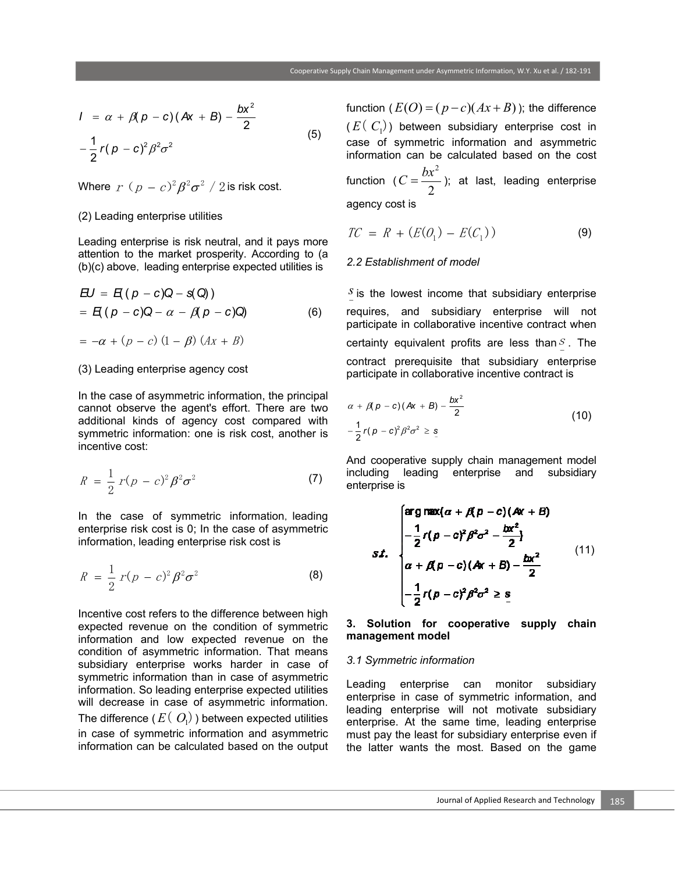$$
I = \alpha + \beta(p - c)(Ax + B) - \frac{bx^{2}}{2}
$$
  
 
$$
-\frac{1}{2}r(p - c)^{2}\beta^{2}\sigma^{2}
$$
 (5)

Where  $r (p - c)^2 \beta^2 \sigma^2 / 2$  is risk cost.

## (2) Leading enterprise utilities

Leading enterprise is risk neutral, and it pays more attention to the market prosperity. According to (a  $(b)(c)$  above, leading enterprise expected utilities is

$$
\mathbf{E} \mathbf{J} = \mathbf{E} (p - c) \mathbf{Q} - \mathbf{s} (\mathbf{Q})
$$
\n
$$
= \mathbf{E} (p - c) \mathbf{Q} - \alpha - \beta (p - c) \mathbf{Q}
$$
\n
$$
= -\alpha + (p - c) (1 - \beta) (Ax + B)
$$
\n(6)

# (3) Leading enterprise agency cost

In the case of asymmetric information, the principal cannot observe the agent's effort. There are two additional kinds of agency cost compared with symmetric information: one is risk cost, another is incentive cost:

$$
R = \frac{1}{2} r(p - c)^2 \beta^2 \sigma^2
$$
 (7)

In the case of symmetric information, leading enterprise risk cost is 0; In the case of asymmetric information, leading enterprise risk cost is

$$
R = \frac{1}{2} r (p - c)^2 \beta^2 \sigma^2
$$
 (8)

Incentive cost refers to the difference between high expected revenue on the condition of symmetric information and low expected revenue on the condition of asymmetric information. That means subsidiary enterprise works harder in case of symmetric information than in case of asymmetric information. So leading enterprise expected utilities will decrease in case of asymmetric information. The difference  $(E \, \mathcal{C})$  ) between expected utilities in case of symmetric information and asymmetric information can be calculated based on the output function ( $E(O) = (p - c)(Ax + B)$ ); the difference  $(E(C_i))$  between subsidiary enterprise cost in case of symmetric information and asymmetric information can be calculated based on the cost function ( $C = \frac{5\pi}{2}$  $C = \frac{bx^2}{2}$ ; at last, leading enterprise agency cost is

$$
TC = R + (E(O_1) - E(C_1))
$$
 (9)

#### *2.2 Establishment of model*

 $S_{\text{-}}$  is the lowest income that subsidiary enterprise requires, and subsidiary enterprise will not participate in collaborative incentive contract when certainty equivalent profits are less than  $S_{-}$ . The contract prerequisite that subsidiary enterprise participate in collaborative incentive contract is

$$
\alpha + \beta(p - c)(Ax + B) - \frac{bx^2}{2}
$$
  

$$
-\frac{1}{2}r(p - c)^2\beta^2\sigma^2 \geq s
$$
 (10)

And cooperative supply chain management model including leading enterprise and subsidiary enterprise is

$$
s.t. \begin{cases}\n\arg \max\{ \alpha + \beta, p - c \} (A\alpha + B) \\
-\frac{1}{2} r (p - c)^2 \beta^2 \sigma^2 - \frac{b \alpha^2}{2}\n\} \\
\alpha + \beta, p - c \} (A\alpha + B) - \frac{b \alpha^2}{2}\n\end{cases} (11)
$$
\n
$$
\begin{cases}\n-\frac{1}{2} r (p - c)^2 \beta^2 \sigma^2 \ge \frac{c}{2}\n\end{cases}
$$

# **3. Solution for cooperative supply chain management model**

## *3.1 Symmetric information*

Leading enterprise can monitor subsidiary enterprise in case of symmetric information, and leading enterprise will not motivate subsidiary enterprise. At the same time, leading enterprise must pay the least for subsidiary enterprise even if the latter wants the most. Based on the game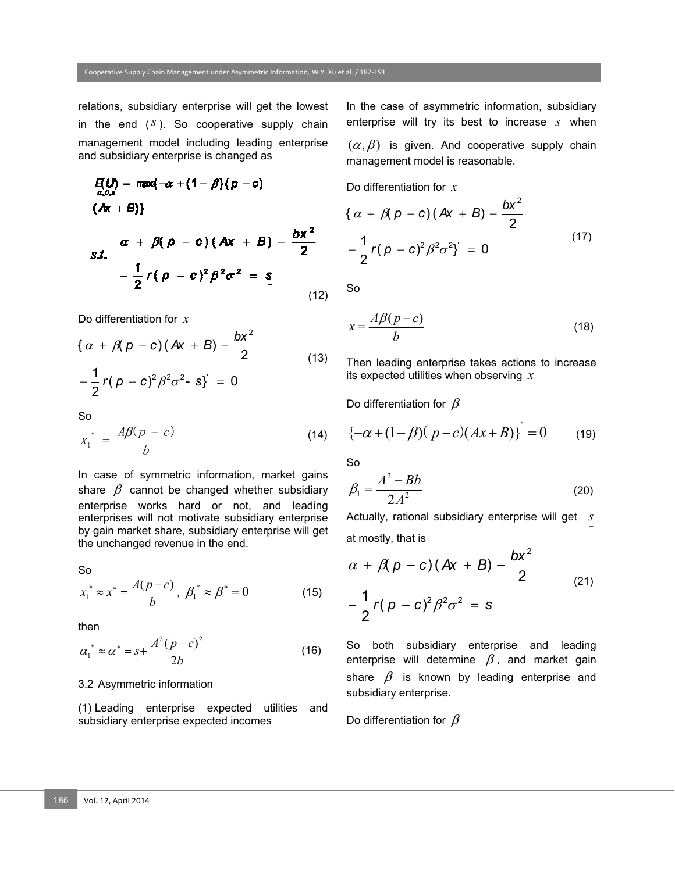relations, subsidiary enterprise will get the lowest in the end  $\binom{S}{-}$ . So cooperative supply chain management model including leading enterprise and subsidiary enterprise is changed as

$$
E(U) = \max\{-\alpha + (1-\beta)(p-c)
$$
  
\n
$$
(\mathbf{Ax} + \mathbf{B})\}
$$
  
\n
$$
\alpha + \beta(p - c) (\mathbf{Ax} + \mathbf{B}) - \frac{bx^{2}}{2}
$$
  
\n
$$
-\frac{1}{2}r(p - c)^{2}\beta^{2}\sigma^{2} = \underline{s}
$$
 (12)

Do differentiation for *x*

$$
\{ \alpha + \beta(p - c)(Ax + B) - \frac{bx^2}{2} - \frac{1}{2}r(p - c)^2\beta^2\sigma^2 - s \} = 0
$$
\n(13)

So

$$
x_1^* = \frac{A\beta(p-c)}{b} \tag{14}
$$

In case of symmetric information, market gains share  $\beta$  cannot be changed whether subsidiary enterprise works hard or not, and leading enterprises will not motivate subsidiary enterprise by gain market share, subsidiary enterprise will get the unchanged revenue in the end.

So

$$
x_1^* \approx x^* = \frac{A(p-c)}{b}, \ \beta_1^* \approx \beta^* = 0 \tag{15}
$$

then

$$
\alpha_1^* \approx \alpha^* = s + \frac{A^2 (p - c)^2}{2b} \tag{16}
$$

# 3.2 Asymmetric information

(1).Leading enterprise expected utilities and subsidiary enterprise expected incomes

In the case of asymmetric information, subsidiary enterprise will try its best to increase *s* when  $(\alpha, \beta)$  is given. And cooperative supply chain management model is reasonable.

Do differentiation for *x*

$$
\{ \alpha + \beta(p - c)(Ax + B) - \frac{bx^{2}}{2} - \frac{1}{2}r(p - c)^{2}\beta^{2}\sigma^{2} \} = 0
$$
\n(17)

So

$$
x = \frac{A\beta(p-c)}{b} \tag{18}
$$

Then leading enterprise takes actions to increase its expected utilities when observing *x*

Do differentiation for  $\beta$ 

$$
\{-\alpha + (1 - \beta)(p - c)(Ax + B)\} = 0 \tag{19}
$$

So

$$
\beta_1 = \frac{A^2 - Bb}{2A^2} \tag{20}
$$

Actually, rational subsidiary enterprise will get *s* at mostly, that is

$$
\alpha + \beta(p - c)(Ax + B) - \frac{bx^2}{2}
$$
  

$$
-\frac{1}{2}r(p - c)^2\beta^2\sigma^2 = s
$$
 (21)

So both subsidiary enterprise and leading enterprise will determine  $\beta$ , and market gain share  $\beta$  is known by leading enterprise and subsidiary enterprise.

Do differentiation for  $\beta$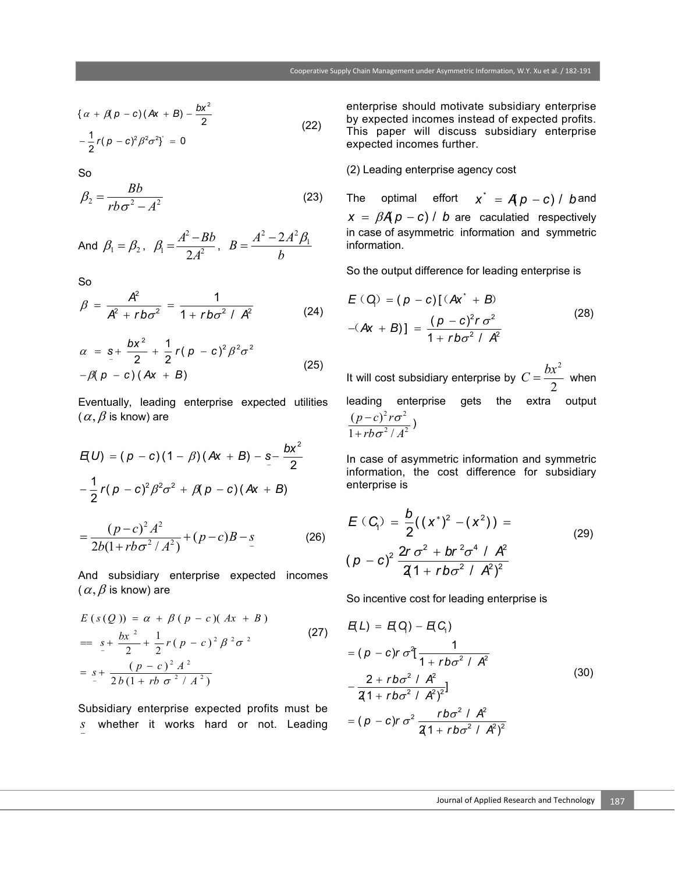$$
\{ \alpha + \beta(\rho - c)(Ax + B) - \frac{bx^2}{2} - \frac{1}{2}r(\rho - c)^2\beta^2\sigma^2 \} = 0
$$
\n(22)

So

$$
\beta_2 = \frac{Bb}{rb\sigma^2 - A^2} \tag{23}
$$

And 
$$
\beta_1 = \beta_2
$$
,  $\beta_1 = \frac{A^2 - Bb}{2A^2}$ ,  $B = \frac{A^2 - 2A^2\beta_1}{b}$ 

So

$$
\beta = \frac{A^2}{A^2 + r b \sigma^2} = \frac{1}{1 + r b \sigma^2 / A^2}
$$
 (24)

$$
\alpha = s + \frac{bx^2}{2} + \frac{1}{2}r(p - c)^2\beta^2\sigma^2
$$
  
-  $\beta(p - c)(Ax + B)$  (25)

Eventually, leading enterprise expected utilities  $(\alpha, \beta)$  is know) are

$$
E(U) = (p - c)(1 - \beta)(Ax + B) - \underline{s} - \frac{bx^{2}}{2}
$$

$$
-\frac{1}{2}r(p - c)^{2}\beta^{2}\sigma^{2} + \beta(p - c)(Ax + B)
$$

$$
=\frac{(p - c)^{2}A^{2}}{2b(1 + rb\sigma^{2}/A^{2})} + (p - c)B - \underline{s}
$$
(26)

And subsidiary enterprise expected incomes  $(\alpha, \beta)$  is know) are

$$
E(s(Q)) = \alpha + \beta (p - c)(Ax + B)
$$
  
=  $s + \frac{bx^2}{2} + \frac{1}{2}r(p - c)^2 \beta^2 \sigma^2$  (27)  
=  $s + \frac{(p - c)^2 A^2}{2b(1 + rb \sigma^2/A^2)}$ 

Subsidiary enterprise expected profits must be *s* whether it works hard or not. Leading

enterprise should motivate subsidiary enterprise by expected incomes instead of expected profits. This paper will discuss subsidiary enterprise expected incomes further.

(2) Leading enterprise agency cost

The optimal effort  $x^* = A p - c$  b and  $x = \beta A p - c$  / *b* are caculatied respectively in case of asymmetric information and symmetric information.

So the output difference for leading enterprise is

$$
E(Q) = (p - c)[(Ax^{*} + B)
$$
  
-(Ax + B)] = 
$$
\frac{(p - c)^{2}r \sigma^{2}}{1 + r b \sigma^{2} / A^{2}}
$$
 (28)

It will cost subsidiary enterprise by  $C = \frac{cm}{2}$  $C = \frac{bx^2}{2}$  when leading enterprise gets the extra output  $2 / 1^2$  $^{2}$   $-^{2}$  $1 + r b \sigma^2$  $(p-c)$  $rb\sigma^2/A$  $(p-c)^2 r$  $\sigma$  $\sigma$  $\overline{+}$  $\frac{(-c)^2r\sigma^2}{2}$ 

In case of asymmetric information and symmetric information, the cost difference for subsidiary enterprise is

$$
E (C_1) = \frac{b}{2} ((x^*)^2 - (x^2)) =
$$
  

$$
(p - c)^2 \frac{2r \sigma^2 + br^2 \sigma^4 / A^2}{2(1 + r b \sigma^2 / A^2)^2}
$$
 (29)

So incentive cost for leading enterprise is

$$
E(L) = E(Q) - E(C1)
$$
  
=  $(p - c)r \sigma^2 \frac{1}{1 + r b \sigma^2 / A^2}$   

$$
-\frac{2 + r b \sigma^2 / A^2}{2(1 + r b \sigma^2 / A^2)^2}]
$$
  
=  $(p - c)r \sigma^2 \frac{r b \sigma^2 / A^2}{2(1 + r b \sigma^2 / A^2)^2}$  (30)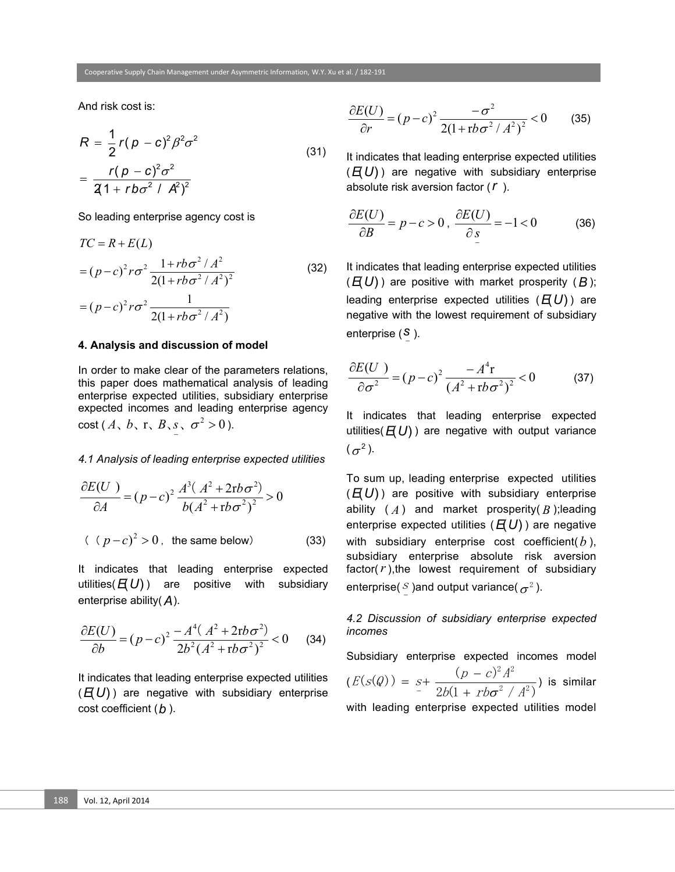And risk cost is:

$$
R = \frac{1}{2}r(p - c)^{2} \beta^{2} \sigma^{2}
$$
  
= 
$$
\frac{r(p - c)^{2} \sigma^{2}}{4(1 + r b \sigma^{2} / A^{2})^{2}}
$$
 (31)

So leading enterprise agency cost is

$$
TC = R + E(L)
$$
  
=  $(p-c)^2 r \sigma^2 \frac{1 + r b \sigma^2 / A^2}{2(1 + r b \sigma^2 / A^2)^2}$  (32)  
=  $(p-c)^2 r \sigma^2 \frac{1}{2(1 + r b \sigma^2 / A^2)}$ 

## **4. Analysis and discussion of model**

In order to make clear of the parameters relations, this paper does mathematical analysis of leading enterprise expected utilities, subsidiary enterprise expected incomes and leading enterprise agency cost  $(A, b, r, B, s, \sigma^2 > 0)$ .

#### *4.1 Analysis of leading enterprise expected utilities*

$$
\frac{\partial E(U)}{\partial A} = (p - c)^2 \frac{A^3 (A^2 + 2rb\sigma^2)}{b(A^2 + rb\sigma^2)^2} > 0
$$
  
( (p - c)<sup>2</sup> > 0, the same below) (33)

It indicates that leading enterprise expected utilities( $E(U)$ ) are positive with subsidiary enterprise ability(*A*).

$$
\frac{\partial E(U)}{\partial b} = (p - c)^2 \frac{-A^4 (A^2 + 2rb\sigma^2)}{2b^2 (A^2 + rb\sigma^2)^2} < 0
$$
 (34)

It indicates that leading enterprise expected utilities  $(E(U))$  are negative with subsidiary enterprise cost coefficient (*b* ).

$$
\frac{\partial E(U)}{\partial r} = (p - c)^2 \frac{-\sigma^2}{2(1 + r b \sigma^2 / A^2)^2} < 0
$$
 (35)

It indicates that leading enterprise expected utilities  $(E(U))$  are negative with subsidiary enterprise absolute risk aversion factor (*r* ).

$$
\frac{\partial E(U)}{\partial B} = p - c > 0, \ \frac{\partial E(U)}{\partial s} = -1 < 0 \tag{36}
$$

It indicates that leading enterprise expected utilities  $(E(U))$  are positive with market prosperity (B); leading enterprise expected utilities  $(E U)$ ) are negative with the lowest requirement of subsidiary enterprise (*s* ).

$$
\frac{\partial E(U)}{\partial \sigma^2} = (p - c)^2 \frac{-A^4 \mathbf{r}}{(A^2 + \mathbf{r} b \sigma^2)^2} < 0 \tag{37}
$$

It indicates that leading enterprise expected utilities( $E(U)$ ) are negative with output variance  $(\sigma^2)$ .

To sum up, leading enterprise expected utilities  $(E(U))$  are positive with subsidiary enterprise ability ( *A* ) and market prosperity( *B* );leading enterprise expected utilities ( $E(U)$ ) are negative with subsidiary enterprise cost coefficient(*b* ), subsidiary enterprise absolute risk aversion factor(*r*),the lowest requirement of subsidiary enterprise( $S\overline{S}$ )and output variance( $\sigma^2$ ).

*4.2 Discussion of subsidiary enterprise expected incomes* 

Subsidiary enterprise expected incomes model  $(E(s(Q)) = s + \frac{(p-c)^2 A^2}{2b(1 + r b \sigma^2 / A^2)}$  $b(1 + r b \sigma^2 / A^2)$  $E(s(Q)) = s + \frac{(p - c)^2 A^2}{2}$ +  $r b\sigma$  $=$   $S+ \frac{(p-c)^2A^2}{2b(1+r b\sigma^2/A^2)}$ ) is similar

with leading enterprise expected utilities model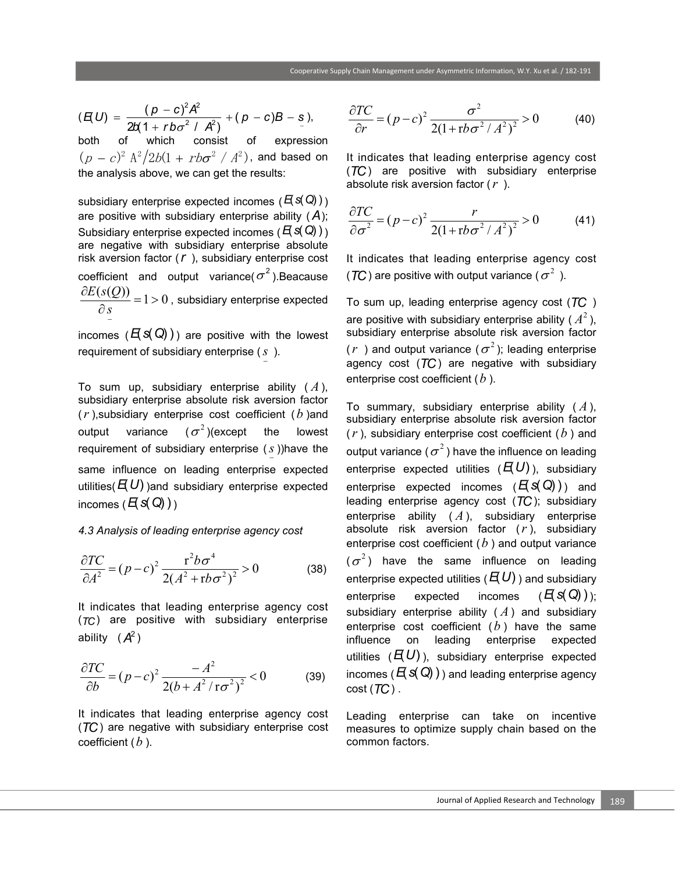$$
(E(U) = \frac{(p-c)^2A^2}{2b(1+rb\sigma^2/A^2)} + (p-c)B - s),
$$

both of which consist of expression  $(p-c)^2$   $A^2/2b(1 + rb\sigma^2/A^2)$ , and based on the analysis above, we can get the results:

subsidiary enterprise expected incomes  $(E \sphericalangle Q)$ ) are positive with subsidiary enterprise ability (*A*); Subsidiary enterprise expected incomes ( $E(S(Q))$ ) are negative with subsidiary enterprise absolute risk aversion factor (*r* ), subsidiary enterprise cost coefficient and output variance( $\sigma^2$ ). Beacause  $\frac{(s(Q))}{2} = 1 > 0$  $\partial$  $\partial$ *s*  $\frac{E(s(Q))}{\sigma}$  = 1 > 0, subsidiary enterprise expected

incomes  $(E(S(Q)))$  are positive with the lowest requirement of subsidiary enterprise ( *s* ).

To sum up, subsidiary enterprise ability ( *A* ), subsidiary enterprise absolute risk aversion factor (*r* ),subsidiary enterprise cost coefficient ( *b* )and output variance  $(\sigma^2)$  (except the lowest requirement of subsidiary enterprise ( *s* ))have the same influence on leading enterprise expected utilities( $E(U)$ ) and subsidiary enterprise expected incomes  $(E \sphericalangle (Q))$ 

*4.3 Analysis of leading enterprise agency cost* 

$$
\frac{\partial TC}{\partial A^2} = (p - c)^2 \frac{r^2 b \sigma^4}{2(A^2 + r b \sigma^2)^2} > 0
$$
 (38)

It indicates that leading enterprise agency cost (*TC*) are positive with subsidiary enterprise ability  $(A^2)$ 

$$
\frac{\partial TC}{\partial b} = (p - c)^2 \frac{-A^2}{2(b + A^2 / r\sigma^2)^2} < 0
$$
 (39)

It indicates that leading enterprise agency cost (*TC*) are negative with subsidiary enterprise cost coefficient (*b* ).

$$
\frac{\partial TC}{\partial r} = (p - c)^2 \frac{\sigma^2}{2(1 + \text{rb}\,\sigma^2/A^2)^2} > 0 \tag{40}
$$

It indicates that leading enterprise agency cost (*TC*) are positive with subsidiary enterprise absolute risk aversion factor (*r* ).

$$
\frac{\partial TC}{\partial \sigma^2} = (p - c)^2 \frac{r}{2(1 + r b \sigma^2 / A^2)^2} > 0 \tag{41}
$$

It indicates that leading enterprise agency cost (*TC*) are positive with output variance ( $\sigma^2$ ).

To sum up, leading enterprise agency cost (*TC* ) are positive with subsidiary enterprise ability  $(A^2)$ , subsidiary enterprise absolute risk aversion factor  $(r)$  and output variance  $(\sigma^2)$ ; leading enterprise agency cost (*TC*) are negative with subsidiary enterprise cost coefficient (*b* ).

To summary, subsidiary enterprise ability  $(A)$ , subsidiary enterprise absolute risk aversion factor (*r* ), subsidiary enterprise cost coefficient (*b* ) and output variance ( $\sigma^2$ ) have the influence on leading enterprise expected utilities  $(E(U))$ , subsidiary enterprise expected incomes  $(E \s, S(Q))$  and leading enterprise agency cost (*TC*); subsidiary enterprise ability  $(A)$ , subsidiary enterprise absolute risk aversion factor (*r* ), subsidiary enterprise cost coefficient (*b* ) and output variance  $(\sigma^2)$  have the same influence on leading enterprise expected utilities ( $E(U)$ ) and subsidiary enterprise expected incomes  $(H S(Q))$ : subsidiary enterprise ability  $(A)$  and subsidiary enterprise cost coefficient  $(b)$  have the same influence on leading enterprise expected utilities  $(E(U))$ , subsidiary enterprise expected incomes ( $E(S(Q))$ ) and leading enterprise agency cost (*TC*) .

Leading enterprise can take on incentive measures to optimize supply chain based on the common factors.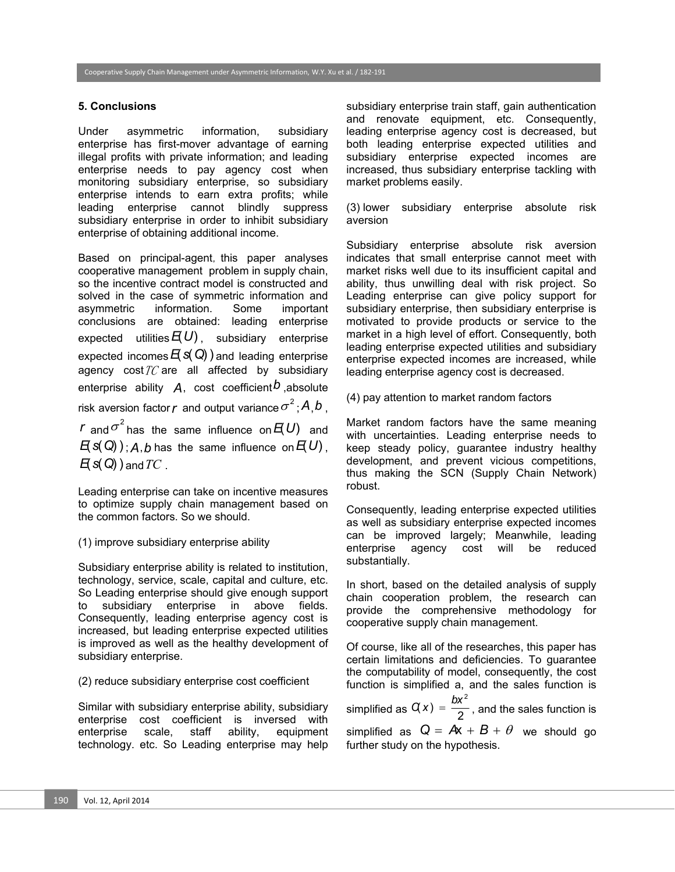# **5. Conclusions**

Under asymmetric information, subsidiary enterprise has first-mover advantage of earning illegal profits with private information; and leading enterprise needs to pay agency cost when monitoring subsidiary enterprise, so subsidiary enterprise intends to earn extra profits; while leading enterprise cannot blindly suppress subsidiary enterprise in order to inhibit subsidiary enterprise of obtaining additional income.

Based on principal-agent, this paper analyses cooperative management problem in supply chain, so the incentive contract model is constructed and solved in the case of symmetric information and asymmetric information. Some important conclusions are obtained: leading enterprise expected utilities  $E(U)$ , subsidiary enterprise expected incomes  $E(s)$  and leading enterprise agency cost  $TC$  are all affected by subsidiary enterprise ability *A*, cost coefficient*b* ,absolute risk aversion factor *r* and output variance  $\sigma^2$  ; **A**, **b** ,  $r$  and  $\sigma^2$  has the same influence on  ${\sf H}(U)$  and  $E(S(Q))$ ; A, b has the same influence on  $E(U)$ ,  $E(S(Q))$  and  $TC$ .

Leading enterprise can take on incentive measures to optimize supply chain management based on the common factors. So we should.

## (1).improve subsidiary enterprise ability

Subsidiary enterprise ability is related to institution, technology, service, scale, capital and culture, etc. So Leading enterprise should give enough support to subsidiary enterprise in above fields. Consequently, leading enterprise agency cost is increased, but leading enterprise expected utilities is improved as well as the healthy development of subsidiary enterprise.

(2) reduce subsidiary enterprise cost coefficient

Similar with subsidiary enterprise ability, subsidiary enterprise cost coefficient is inversed with enterprise scale, staff ability, equipment technology. etc. So Leading enterprise may help

subsidiary enterprise train staff, gain authentication and renovate equipment, etc. Consequently, leading enterprise agency cost is decreased, but both leading enterprise expected utilities and subsidiary enterprise expected incomes are increased, thus subsidiary enterprise tackling with market problems easily.

(3).lower subsidiary enterprise absolute risk aversion

Subsidiary enterprise absolute risk aversion indicates that small enterprise cannot meet with market risks well due to its insufficient capital and ability, thus unwilling deal with risk project. So Leading enterprise can give policy support for subsidiary enterprise, then subsidiary enterprise is motivated to provide products or service to the market in a high level of effort. Consequently, both leading enterprise expected utilities and subsidiary enterprise expected incomes are increased, while leading enterprise agency cost is decreased.

(4) pay attention to market random factors

Market random factors have the same meaning with uncertainties. Leading enterprise needs to keep steady policy, guarantee industry healthy development, and prevent vicious competitions, thus making the SCN (Supply Chain Network) robust.

Consequently, leading enterprise expected utilities as well as subsidiary enterprise expected incomes can be improved largely; Meanwhile, leading enterprise agency cost will be reduced substantially.

In short, based on the detailed analysis of supply chain cooperation problem, the research can provide the comprehensive methodology for cooperative supply chain management.

Of course, like all of the researches, this paper has certain limitations and deficiencies. To guarantee the computability of model, consequently, the cost function is simplified a, and the sales function is simplified as  $Q(x) = \frac{bx^2}{2}$ , and the sales function is simplified as  $Q = Ax + B + \theta$  we should go further study on the hypothesis.